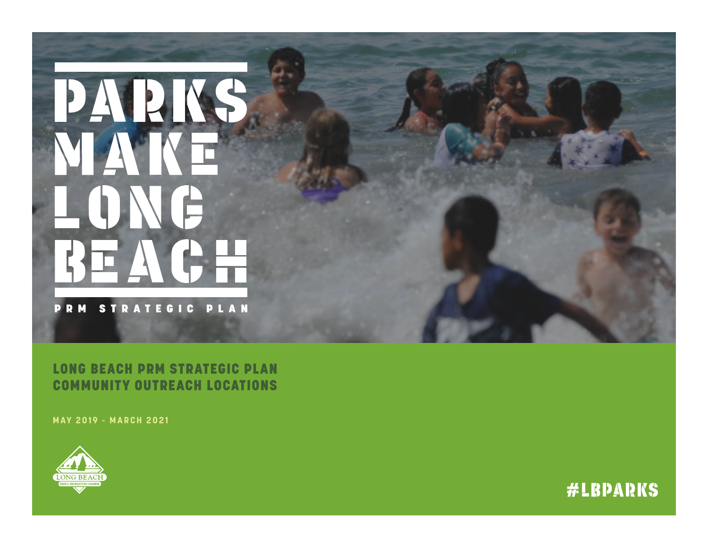# PAPINS LONG REACH

**PRM STRATEGIC PLAN** 

LONG BEACH PRM STRATEGIC PLAN COMMUNITY OUTREACH LOCATIONS

**MAY 2019 - MARCH 2021**



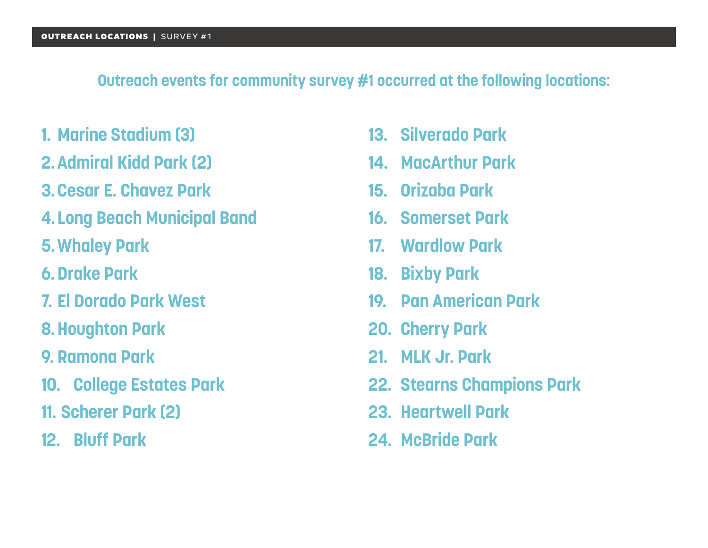### **Outreach events for community survey #1 occurred at the following locations:**

- **1. Marine Stadium (3)**
- **2.Admiral Kidd Park (2)**
- **3.Cesar E. Chavez Park**
- **4. Long Beach Municipal Band**
- **5.Whaley Park**
- **6.Drake Park**
- **7. El Dorado Park West**
- **8.Houghton Park**
- **9. Ramona Park**
- **10. College Estates Park**
- **11. Scherer Park (2)**
- **12. Bluff Park**
- **13. Silverado Park**
- **14. MacArthur Park**
- **15. Orizaba Park**
- **16. Somerset Park**
- **17. Wardlow Park**
- **18. Bixby Park**
- **19. Pan American Park**
- **20. Cherry Park**
- **21. MLK Jr. Park**
- **22. Stearns Champions Park**
- **23. Heartwell Park**
- **24. McBride Park**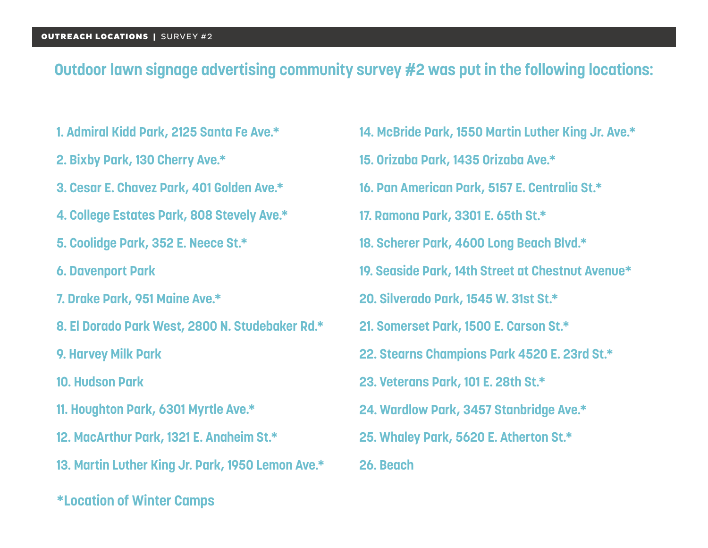#### **Outdoor lawn signage advertising community survey #2 was put in the following locations:**

- **1. Admiral Kidd Park, 2125 Santa Fe Ave.\***
- **2. Bixby Park, 130 Cherry Ave.\***
- **3. Cesar E. Chavez Park, 401 Golden Ave.\***
- **4. College Estates Park, 808 Stevely Ave.\***
- **5. Coolidge Park, 352 E. Neece St.\***
- **6. Davenport Park**
- **7. Drake Park, 951 Maine Ave.\***
- **8. El Dorado Park West, 2800 N. Studebaker Rd.\***
- **9. Harvey Milk Park**
- **10. Hudson Park**
- **11. Houghton Park, 6301 Myrtle Ave.\***
- **12. MacArthur Park, 1321 E. Anaheim St.\***
- **13. Martin Luther King Jr. Park, 1950 Lemon Ave.\***
- **\*Location of Winter Camps**
- **14. McBride Park, 1550 Martin Luther King Jr. Ave.\***
- **15. Orizaba Park, 1435 Orizaba Ave.\***
- **16. Pan American Park, 5157 E. Centralia St.\***
- **17. Ramona Park, 3301 E. 65th St.\***
- **18. Scherer Park, 4600 Long Beach Blvd.\***
- **19. Seaside Park, 14th Street at Chestnut Avenue\***
- **20. Silverado Park, 1545 W. 31st St.\***
- **21. Somerset Park, 1500 E. Carson St.\***
- **22. Stearns Champions Park 4520 E. 23rd St.\***
- **23. Veterans Park, 101 E. 28th St.\***
- **24. Wardlow Park, 3457 Stanbridge Ave.\***
- **25. Whaley Park, 5620 E. Atherton St.\***
- **26. Beach**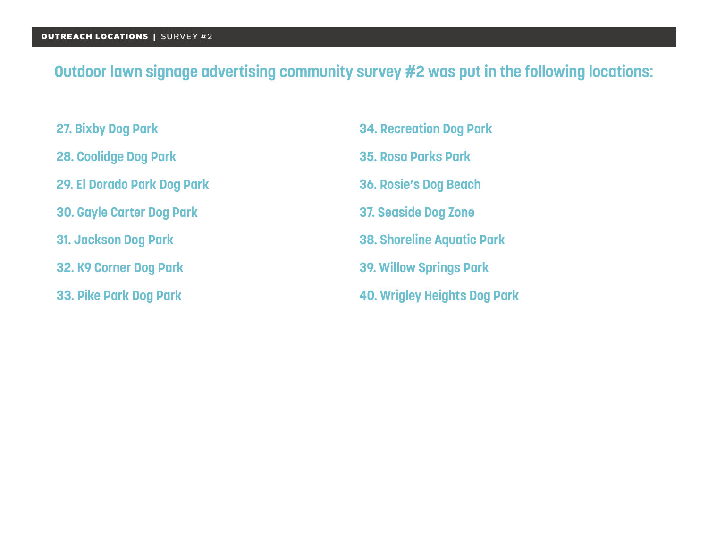# **Outdoor lawn signage advertising community survey #2 was put in the following locations:**

- **27. Bixby Dog Park**
- **28. Coolidge Dog Park**
- **29. El Dorado Park Dog Park**
- **30. Gayle Carter Dog Park**
- **31. Jackson Dog Park**
- **32. K9 Corner Dog Park**
- **33. Pike Park Dog Park**
- **34. Recreation Dog Park**
- **35. Rosa Parks Park**
- **36. Rosie's Dog Beach**
- **37. Seaside Dog Zone**
- **38. Shoreline Aquatic Park**
- **39. Willow Springs Park**
- **40. Wrigley Heights Dog Park**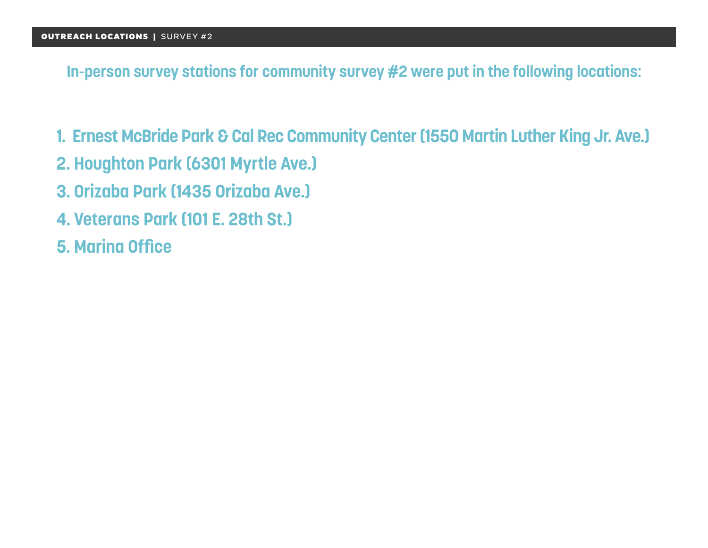**In-person survey stations for community survey #2 were put in the following locations:**

- **1. Ernest McBride Park & Cal Rec Community Center (1550 Martin Luther King Jr. Ave.)**
- **2. Houghton Park (6301 Myrtle Ave.)**
- **3. Orizaba Park (1435 Orizaba Ave.)**
- **4. Veterans Park (101 E. 28th St.)**
- **5. Marina Office**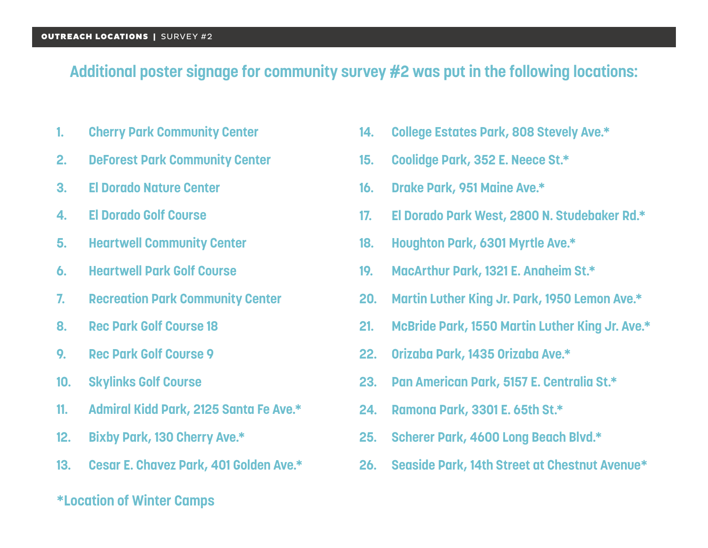#### **Additional poster signage for community survey #2 was put in the following locations:**

- **1. Cherry Park Community Center**
- **2. DeForest Park Community Center**
- **3. El Dorado Nature Center**
- **4. El Dorado Golf Course**
- **5. Heartwell Community Center**
- **6. Heartwell Park Golf Course**
- **7. Recreation Park Community Center**
- **8. Rec Park Golf Course 18**
- **9. Rec Park Golf Course 9**
- **10. Skylinks Golf Course**
- **11. Admiral Kidd Park, 2125 Santa Fe Ave.\***
- **12. Bixby Park, 130 Cherry Ave.\***
- **13. Cesar E. Chavez Park, 401 Golden Ave.\***
- **\*Location of Winter Camps**
- **14. College Estates Park, 808 Stevely Ave.\***
- **15. Coolidge Park, 352 E. Neece St.\***
- **16. Drake Park, 951 Maine Ave.\***
- **17. El Dorado Park West, 2800 N. Studebaker Rd.\***
- **18. Houghton Park, 6301 Myrtle Ave.\***
- **19. MacArthur Park, 1321 E. Anaheim St.\***
- **20. Martin Luther King Jr. Park, 1950 Lemon Ave.\***
- **21. McBride Park, 1550 Martin Luther King Jr. Ave.\***
- **22. Orizaba Park, 1435 Orizaba Ave.\***
- **23. Pan American Park, 5157 E. Centralia St.\***
- **24. Ramona Park, 3301 E. 65th St.\***
- **25. Scherer Park, 4600 Long Beach Blvd.\***
- **26. Seaside Park, 14th Street at Chestnut Avenue\***